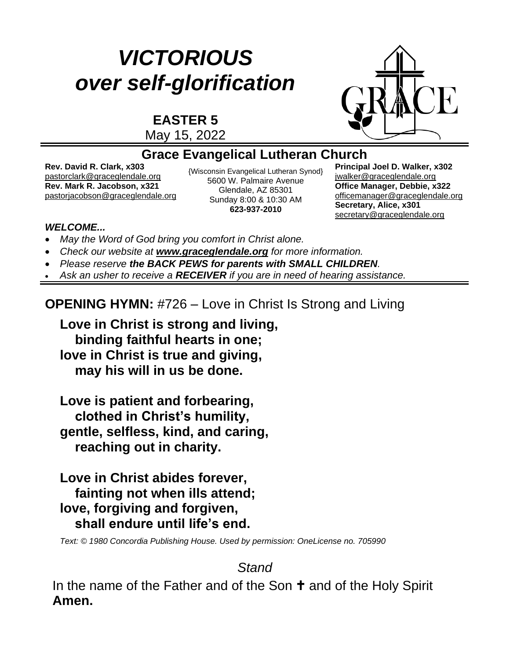# *VICTORIOUS over self-glorification*

**EASTER 5**



May 15, 2022

#### **Grace Evangelical Lutheran Church**

**Rev. David R. Clark, x303** [pastorclark@graceglendale.org](mailto:pastorclark@graceglendale.org) {Wisconsin Evangelical Lutheran Synod}<br> $\frac{1}{2}$  EGOO W. Polmairs Avanua **Rev. Mark R. Jacobson, x321** [pastorjacobson@graceglendale.org](mailto:pastorjacobson@graceglendale.org)

5600 W. Palmaire Avenue Glendale, AZ 85301 Sunday 8:00 & 10:30 AM **623-937-2010**

**Principal Joel D. Walker, x302** jwalke[r@graceglendale.org](mailto:ejfredrich@graceglendale.org) **Office Manager, Debbie, x322** [officemanager@graceglendale.org](mailto:officemanager@graceglendale.org) **Secretary, Alice, x301** [secretary@graceglendale.org](mailto:secretary@graceglendale.org)

#### *WELCOME...*

- *May the Word of God bring you comfort in Christ alone.*
- *Check our website at [www.graceglendale.org](http://www.graceglendale.org/) for more information.*
- *Please reserve the BACK PEWS for parents with SMALL CHILDREN.*
- *Ask an usher to receive a RECEIVER if you are in need of hearing assistance.*

## **OPENING HYMN:** #726 – Love in Christ Is Strong and Living

**Love in Christ is strong and living, binding faithful hearts in one; love in Christ is true and giving, may his will in us be done.**

**Love is patient and forbearing, clothed in Christ's humility, gentle, selfless, kind, and caring, reaching out in charity.**

**Love in Christ abides forever, fainting not when ills attend; love, forgiving and forgiven, shall endure until life's end.**

*Text: © 1980 Concordia Publishing House. Used by permission: OneLicense no. 705990*

# *Stand*

In the name of the Father and of the Son  $\dagger$  and of the Holy Spirit **Amen.**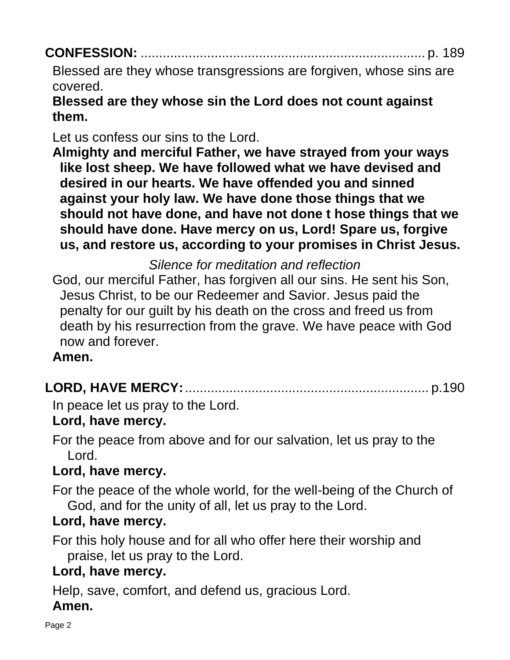|--|

Blessed are they whose transgressions are forgiven, whose sins are covered.

## **Blessed are they whose sin the Lord does not count against them.**

Let us confess our sins to the Lord.

**Almighty and merciful Father, we have strayed from your ways like lost sheep. We have followed what we have devised and desired in our hearts. We have offended you and sinned against your holy law. We have done those things that we should not have done, and have not done t hose things that we should have done. Have mercy on us, Lord! Spare us, forgive us, and restore us, according to your promises in Christ Jesus.**

*Silence for meditation and reflection*

God, our merciful Father, has forgiven all our sins. He sent his Son, Jesus Christ, to be our Redeemer and Savior. Jesus paid the penalty for our guilt by his death on the cross and freed us from death by his resurrection from the grave. We have peace with God now and forever.

#### **Amen.**

|--|

In peace let us pray to the Lord.

#### **Lord, have mercy.**

For the peace from above and for our salvation, let us pray to the Lord.

## **Lord, have mercy.**

For the peace of the whole world, for the well-being of the Church of God, and for the unity of all, let us pray to the Lord.

## **Lord, have mercy.**

For this holy house and for all who offer here their worship and praise, let us pray to the Lord.

## **Lord, have mercy.**

Help, save, comfort, and defend us, gracious Lord.

#### **Amen.**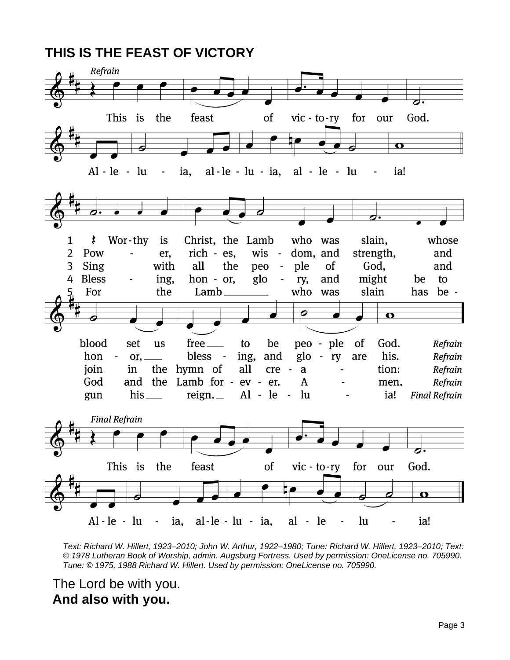

*Text: Richard W. Hillert, 1923–2010; John W. Arthur, 1922–1980; Tune: Richard W. Hillert, 1923–2010; Text: © 1978 Lutheran Book of Worship, admin. Augsburg Fortress. Used by permission: OneLicense no. 705990. Tune: © 1975, 1988 Richard W. Hillert. Used by permission: OneLicense no. 705990.*

The Lord be with you. **And also with you.**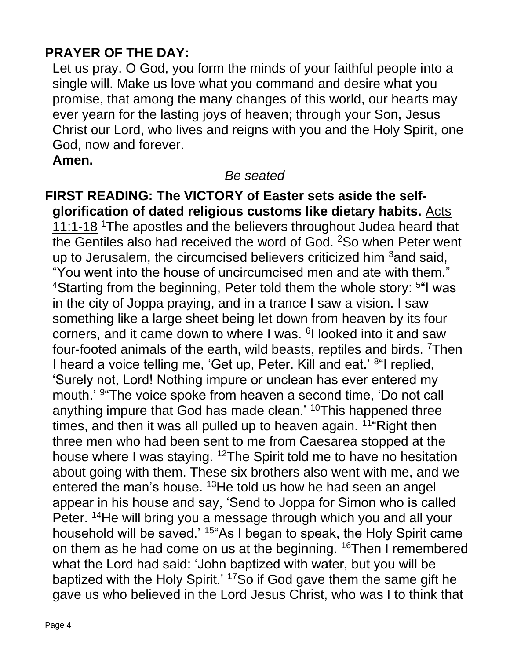## **PRAYER OF THE DAY:**

Let us pray. O God, you form the minds of your faithful people into a single will. Make us love what you command and desire what you promise, that among the many changes of this world, our hearts may ever yearn for the lasting joys of heaven; through your Son, Jesus Christ our Lord, who lives and reigns with you and the Holy Spirit, one God, now and forever.

#### **Amen.**

#### *Be seated*

**FIRST READING: The VICTORY of Easter sets aside the selfglorification of dated religious customs like dietary habits.** Acts 11:1-18 <sup>1</sup>The apostles and the believers throughout Judea heard that the Gentiles also had received the word of God. <sup>2</sup>So when Peter went up to Jerusalem, the circumcised believers criticized him <sup>3</sup>and said, "You went into the house of uncircumcised men and ate with them." <sup>4</sup>Starting from the beginning, Peter told them the whole story: <sup>5"</sup>I was in the city of Joppa praying, and in a trance I saw a vision. I saw something like a large sheet being let down from heaven by its four corners, and it came down to where I was. <sup>6</sup>I looked into it and saw four-footed animals of the earth, wild beasts, reptiles and birds. <sup>7</sup>Then I heard a voice telling me, 'Get up, Peter. Kill and eat.' <sup>8</sup>"I replied, 'Surely not, Lord! Nothing impure or unclean has ever entered my mouth.' <sup>9</sup> The voice spoke from heaven a second time, 'Do not call anything impure that God has made clean.' <sup>10</sup>This happened three times, and then it was all pulled up to heaven again.  $11^{\circ}$ Right then three men who had been sent to me from Caesarea stopped at the house where I was staying. <sup>12</sup>The Spirit told me to have no hesitation about going with them. These six brothers also went with me, and we entered the man's house. <sup>13</sup>He told us how he had seen an angel appear in his house and say, 'Send to Joppa for Simon who is called Peter. <sup>14</sup>He will bring you a message through which you and all your household will be saved.<sup>' 15"</sup>As I began to speak, the Holy Spirit came on them as he had come on us at the beginning. <sup>16</sup>Then I remembered what the Lord had said: 'John baptized with water, but you will be baptized with the Holy Spirit.' <sup>17</sup>So if God gave them the same gift he gave us who believed in the Lord Jesus Christ, who was I to think that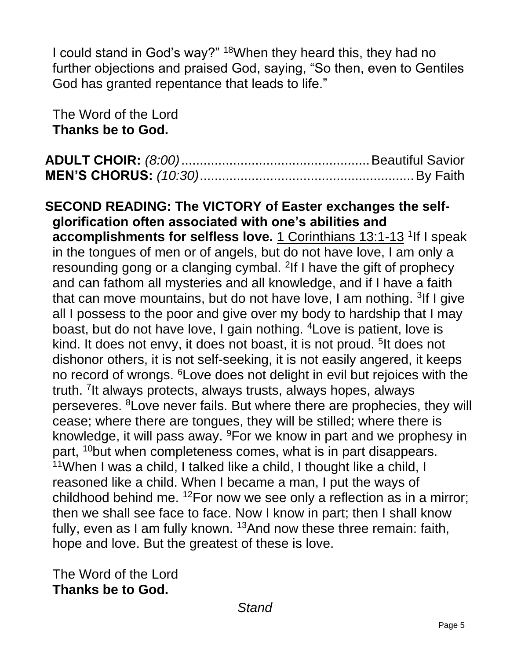I could stand in God's way?" <sup>18</sup>When they heard this, they had no further objections and praised God, saying, "So then, even to Gentiles God has granted repentance that leads to life."

The Word of the Lord **Thanks be to God.**

**SECOND READING: The VICTORY of Easter exchanges the selfglorification often associated with one's abilities and accomplishments for selfless love.** 1 Corinthians 13:1-13 <sup>1</sup>If I speak in the tongues of men or of angels, but do not have love, I am only a resounding gong or a clanging cymbal. <sup>2</sup>If I have the gift of prophecy and can fathom all mysteries and all knowledge, and if I have a faith that can move mountains, but do not have love, I am nothing. <sup>3</sup>If I give all I possess to the poor and give over my body to hardship that I may boast, but do not have love, I gain nothing. <sup>4</sup>Love is patient, love is kind. It does not envy, it does not boast, it is not proud. <sup>5</sup>It does not dishonor others, it is not self-seeking, it is not easily angered, it keeps no record of wrongs. <sup>6</sup>Love does not delight in evil but rejoices with the truth. <sup>7</sup>It always protects, always trusts, always hopes, always perseveres. <sup>8</sup>Love never fails. But where there are prophecies, they will cease; where there are tongues, they will be stilled; where there is knowledge, it will pass away. <sup>9</sup>For we know in part and we prophesy in part, <sup>10</sup>but when completeness comes, what is in part disappears. <sup>11</sup>When I was a child, I talked like a child, I thought like a child, I reasoned like a child. When I became a man, I put the ways of childhood behind me. <sup>12</sup>For now we see only a reflection as in a mirror; then we shall see face to face. Now I know in part; then I shall know fully, even as I am fully known.  $13$ And now these three remain: faith, hope and love. But the greatest of these is love.

The Word of the Lord **Thanks be to God.**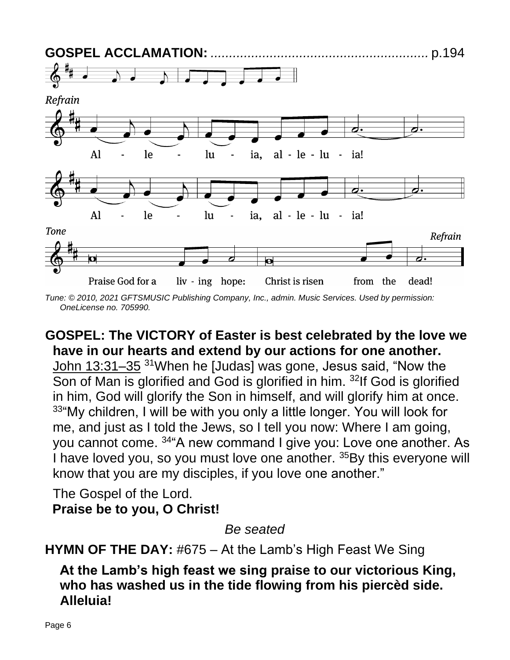

*Tune: © 2010, 2021 GFTSMUSIC Publishing Company, Inc., admin. Music Services. Used by permission: OneLicense no. 705990.*

### **GOSPEL: The VICTORY of Easter is best celebrated by the love we have in our hearts and extend by our actions for one another.**

John 13:31–35 <sup>31</sup>When he [Judas] was gone, Jesus said, "Now the Son of Man is glorified and God is glorified in him. <sup>32</sup>If God is glorified in him, God will glorify the Son in himself, and will glorify him at once. 33"My children, I will be with you only a little longer. You will look for me, and just as I told the Jews, so I tell you now: Where I am going, you cannot come. <sup>34</sup>"A new command I give you: Love one another. As I have loved you, so you must love one another. <sup>35</sup>By this everyone will know that you are my disciples, if you love one another."

The Gospel of the Lord. **Praise be to you, O Christ!**

*Be seated*

**HYMN OF THE DAY:** #675 – At the Lamb's High Feast We Sing

**At the Lamb's high feast we sing praise to our victorious King, who has washed us in the tide flowing from his piercèd side. Alleluia!**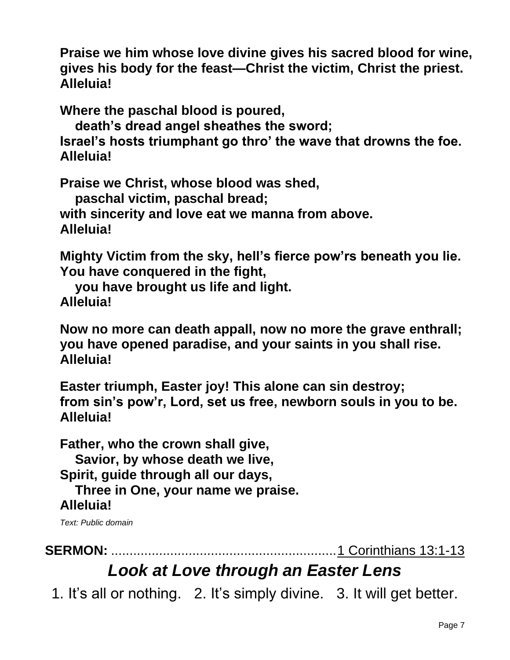**Praise we him whose love divine gives his sacred blood for wine, gives his body for the feast—Christ the victim, Christ the priest. Alleluia!**

**Where the paschal blood is poured,**

**death's dread angel sheathes the sword;**

**Israel's hosts triumphant go thro' the wave that drowns the foe. Alleluia!**

**Praise we Christ, whose blood was shed,**

**paschal victim, paschal bread;**

**with sincerity and love eat we manna from above. Alleluia!**

**Mighty Victim from the sky, hell's fierce pow'rs beneath you lie. You have conquered in the fight,**

**you have brought us life and light. Alleluia!**

**Now no more can death appall, now no more the grave enthrall; you have opened paradise, and your saints in you shall rise. Alleluia!**

**Easter triumph, Easter joy! This alone can sin destroy; from sin's pow'r, Lord, set us free, newborn souls in you to be. Alleluia!**

**Father, who the crown shall give, Savior, by whose death we live, Spirit, guide through all our days, Three in One, your name we praise. Alleluia!**

*Text: Public domain*

**SERMON:** .............................................................1 Corinthians 13:1-13

# *Look at Love through an Easter Lens*

1. It's all or nothing. 2. It's simply divine. 3. It will get better.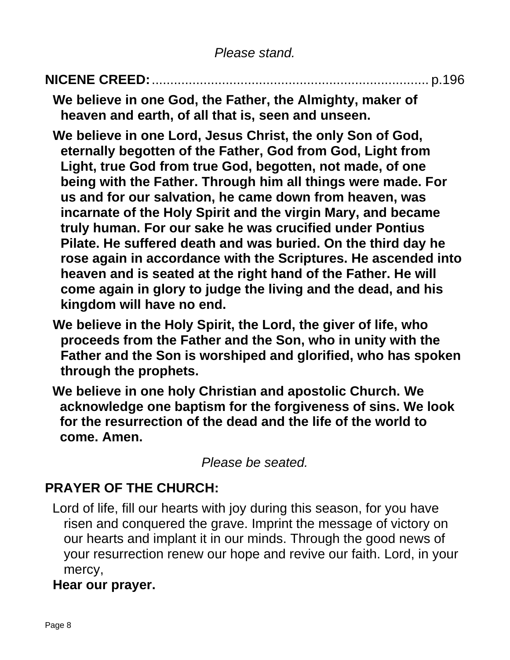# **NICENE CREED:**........................................................................... p.196

**We believe in one God, the Father, the Almighty, maker of heaven and earth, of all that is, seen and unseen.**

- **We believe in one Lord, Jesus Christ, the only Son of God, eternally begotten of the Father, God from God, Light from Light, true God from true God, begotten, not made, of one being with the Father. Through him all things were made. For us and for our salvation, he came down from heaven, was incarnate of the Holy Spirit and the virgin Mary, and became truly human. For our sake he was crucified under Pontius Pilate. He suffered death and was buried. On the third day he rose again in accordance with the Scriptures. He ascended into heaven and is seated at the right hand of the Father. He will come again in glory to judge the living and the dead, and his kingdom will have no end.**
- **We believe in the Holy Spirit, the Lord, the giver of life, who proceeds from the Father and the Son, who in unity with the Father and the Son is worshiped and glorified, who has spoken through the prophets.**
- **We believe in one holy Christian and apostolic Church. We acknowledge one baptism for the forgiveness of sins. We look for the resurrection of the dead and the life of the world to come. Amen.**

*Please be seated.*

#### **PRAYER OF THE CHURCH:**

Lord of life, fill our hearts with joy during this season, for you have risen and conquered the grave. Imprint the message of victory on our hearts and implant it in our minds. Through the good news of your resurrection renew our hope and revive our faith. Lord, in your mercy,

#### **Hear our prayer.**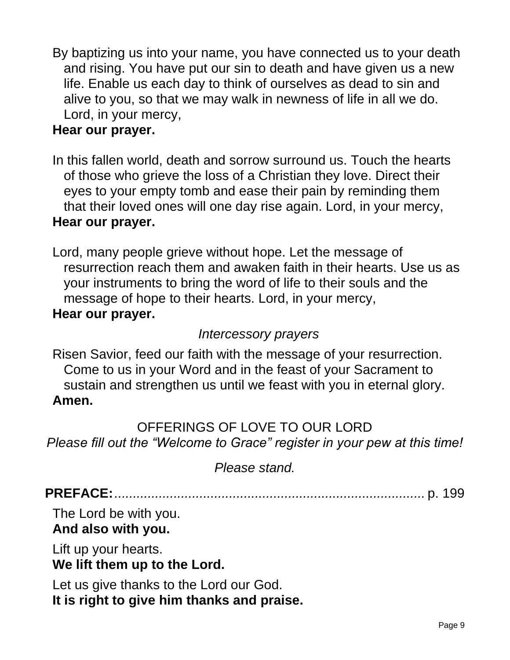By baptizing us into your name, you have connected us to your death and rising. You have put our sin to death and have given us a new life. Enable us each day to think of ourselves as dead to sin and alive to you, so that we may walk in newness of life in all we do. Lord, in your mercy,

#### **Hear our prayer.**

In this fallen world, death and sorrow surround us. Touch the hearts of those who grieve the loss of a Christian they love. Direct their eyes to your empty tomb and ease their pain by reminding them that their loved ones will one day rise again. Lord, in your mercy, **Hear our prayer.**

Lord, many people grieve without hope. Let the message of resurrection reach them and awaken faith in their hearts. Use us as your instruments to bring the word of life to their souls and the message of hope to their hearts. Lord, in your mercy, **Hear our prayer.**

#### *Intercessory prayers*

Risen Savior, feed our faith with the message of your resurrection. Come to us in your Word and in the feast of your Sacrament to sustain and strengthen us until we feast with you in eternal glory. **Amen.**

OFFERINGS OF LOVE TO OUR LORD *Please fill out the "Welcome to Grace" register in your pew at this time!*

*Please stand.*

**PREFACE:***....................................................................................* p. 199

The Lord be with you.

#### **And also with you.**

Lift up your hearts. **We lift them up to the Lord.**

Let us give thanks to the Lord our God. **It is right to give him thanks and praise.**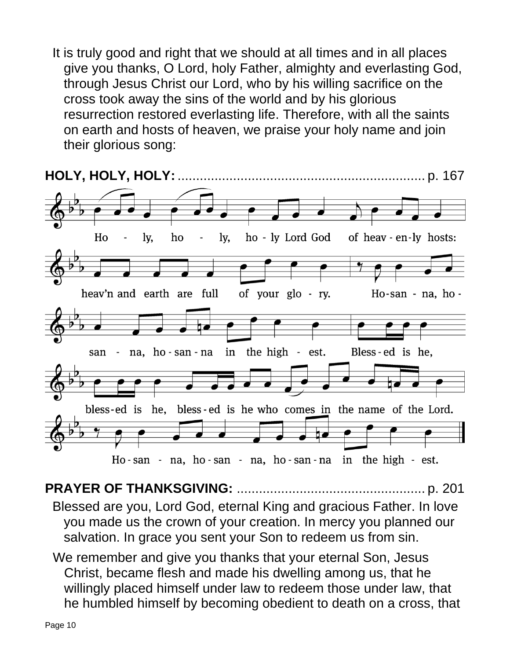It is truly good and right that we should at all times and in all places give you thanks, O Lord, holy Father, almighty and everlasting God, through Jesus Christ our Lord, who by his willing sacrifice on the cross took away the sins of the world and by his glorious resurrection restored everlasting life. Therefore, with all the saints on earth and hosts of heaven, we praise your holy name and join their glorious song:



**PRAYER OF THANKSGIVING:** ................................................... p. 201 Blessed are you, Lord God, eternal King and gracious Father. In love you made us the crown of your creation. In mercy you planned our salvation. In grace you sent your Son to redeem us from sin.

We remember and give you thanks that your eternal Son, Jesus Christ, became flesh and made his dwelling among us, that he willingly placed himself under law to redeem those under law, that he humbled himself by becoming obedient to death on a cross, that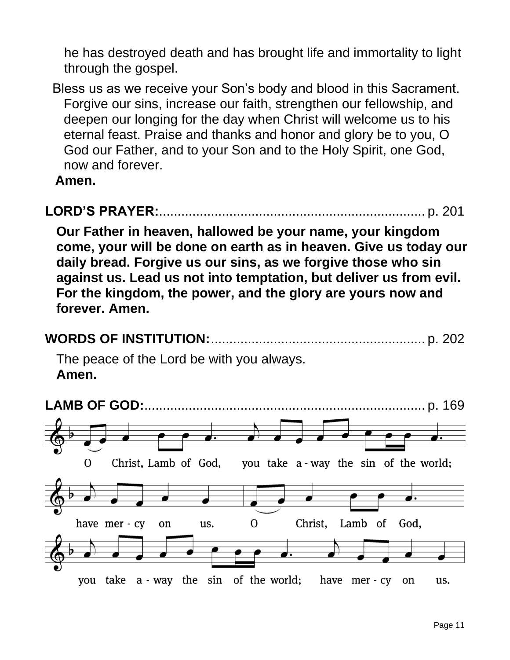he has destroyed death and has brought life and immortality to light through the gospel.

Bless us as we receive your Son's body and blood in this Sacrament. Forgive our sins, increase our faith, strengthen our fellowship, and deepen our longing for the day when Christ will welcome us to his eternal feast. Praise and thanks and honor and glory be to you, O God our Father, and to your Son and to the Holy Spirit, one God, now and forever.

**Amen.**

# **LORD'S PRAYER:**........................................................................ p. 201

**Our Father in heaven, hallowed be your name, your kingdom come, your will be done on earth as in heaven. Give us today our daily bread. Forgive us our sins, as we forgive those who sin against us. Lead us not into temptation, but deliver us from evil. For the kingdom, the power, and the glory are yours now and forever. Amen.**



The peace of the Lord be with you always. **Amen.**

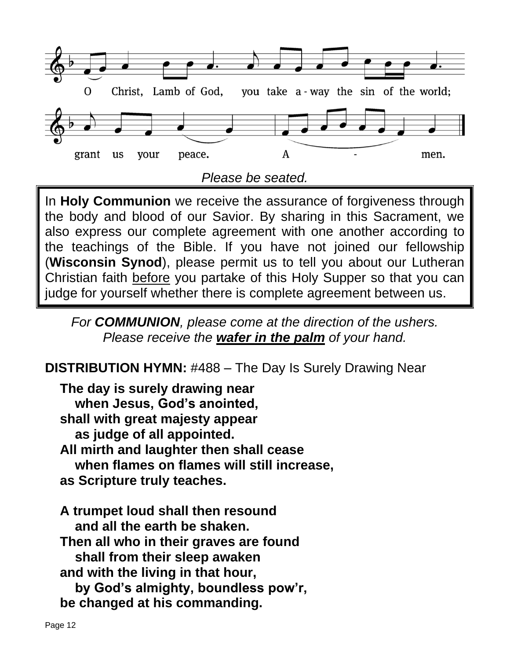

In **Holy Communion** we receive the assurance of forgiveness through the body and blood of our Savior. By sharing in this Sacrament, we also express our complete agreement with one another according to the teachings of the Bible. If you have not joined our fellowship (**Wisconsin Synod**), please permit us to tell you about our Lutheran Christian faith before you partake of this Holy Supper so that you can judge for yourself whether there is complete agreement between us.

*For COMMUNION, please come at the direction of the ushers. Please receive the wafer in the palm of your hand.*

**DISTRIBUTION HYMN:** #488 – The Day Is Surely Drawing Near

**The day is surely drawing near when Jesus, God's anointed, shall with great majesty appear as judge of all appointed. All mirth and laughter then shall cease when flames on flames will still increase, as Scripture truly teaches.**

**A trumpet loud shall then resound and all the earth be shaken. Then all who in their graves are found shall from their sleep awaken and with the living in that hour, by God's almighty, boundless pow'r, be changed at his commanding.**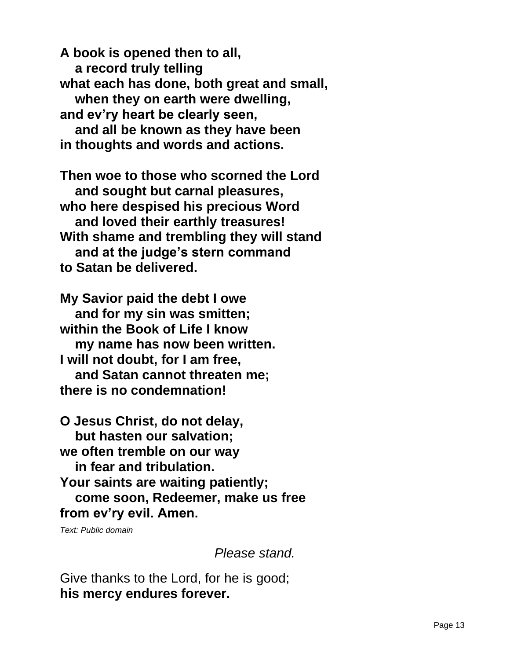**A book is opened then to all, a record truly telling what each has done, both great and small, when they on earth were dwelling, and ev'ry heart be clearly seen, and all be known as they have been in thoughts and words and actions.**

**Then woe to those who scorned the Lord and sought but carnal pleasures, who here despised his precious Word and loved their earthly treasures! With shame and trembling they will stand and at the judge's stern command to Satan be delivered.**

**My Savior paid the debt I owe and for my sin was smitten; within the Book of Life I know my name has now been written. I will not doubt, for I am free, and Satan cannot threaten me; there is no condemnation!**

**O Jesus Christ, do not delay, but hasten our salvation; we often tremble on our way in fear and tribulation. Your saints are waiting patiently; come soon, Redeemer, make us free from ev'ry evil. Amen.**

*Text: Public domain*

*Please stand.*

Give thanks to the Lord, for he is good; **his mercy endures forever.**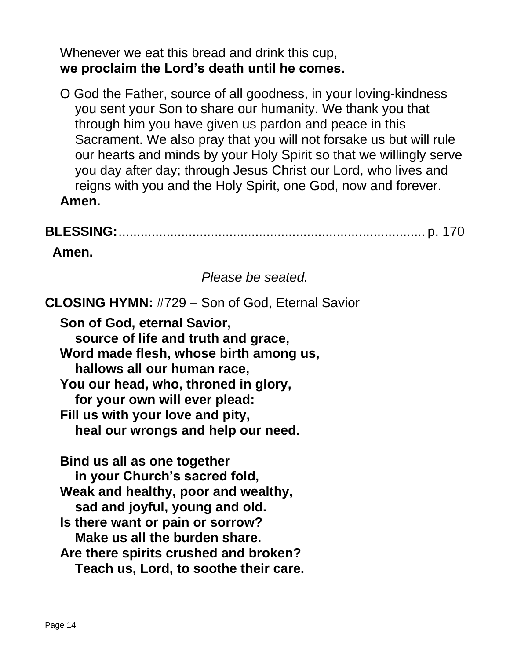Whenever we eat this bread and drink this cup, **we proclaim the Lord's death until he comes.**

O God the Father, source of all goodness, in your loving-kindness you sent your Son to share our humanity. We thank you that through him you have given us pardon and peace in this Sacrament. We also pray that you will not forsake us but will rule our hearts and minds by your Holy Spirit so that we willingly serve you day after day; through Jesus Christ our Lord, who lives and reigns with you and the Holy Spirit, one God, now and forever. **Amen.**

# **BLESSING:**................................................................................... p. 170

**Amen.**

*Please be seated.*

**CLOSING HYMN:** #729 – Son of God, Eternal Savior **Son of God, eternal Savior, source of life and truth and grace, Word made flesh, whose birth among us, hallows all our human race, You our head, who, throned in glory, for your own will ever plead: Fill us with your love and pity, heal our wrongs and help our need. Bind us all as one together**

**in your Church's sacred fold, Weak and healthy, poor and wealthy, sad and joyful, young and old. Is there want or pain or sorrow? Make us all the burden share. Are there spirits crushed and broken? Teach us, Lord, to soothe their care.**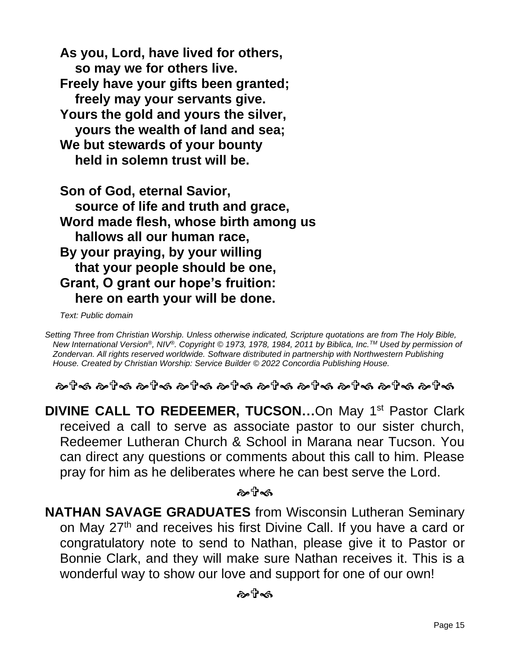**As you, Lord, have lived for others, so may we for others live. Freely have your gifts been granted; freely may your servants give. Yours the gold and yours the silver, yours the wealth of land and sea; We but stewards of your bounty held in solemn trust will be.**

**Son of God, eternal Savior, source of life and truth and grace, Word made flesh, whose birth among us hallows all our human race, By your praying, by your willing that your people should be one, Grant, O grant our hope's fruition: here on earth your will be done.**

*Text: Public domain*

*Setting Three from Christian Worship. Unless otherwise indicated, Scripture quotations are from The Holy Bible, New International Version®, NIV®. Copyright © 1973, 1978, 1984, 2011 by Biblica, Inc.TM Used by permission of Zondervan. All rights reserved worldwide. Software distributed in partnership with Northwestern Publishing House. Created by Christian Worship: Service Builder © 2022 Concordia Publishing House.*

ි අවිනි බවේනි බවේනි බවේනි බවේනි බවේනි බවේනි බවේනි බවේනි

**DIVINE CALL TO REDEEMER, TUCSON...On May 1st Pastor Clark** received a call to serve as associate pastor to our sister church, Redeemer Lutheran Church & School in Marana near Tucson. You can direct any questions or comments about this call to him. Please pray for him as he deliberates where he can best serve the Lord.

ਨੇ≉ਸੈਂ≪ੀ

**NATHAN SAVAGE GRADUATES** from Wisconsin Lutheran Seminary on May 27<sup>th</sup> and receives his first Divine Call. If you have a card or congratulatory note to send to Nathan, please give it to Pastor or Bonnie Clark, and they will make sure Nathan receives it. This is a wonderful way to show our love and support for one of our own!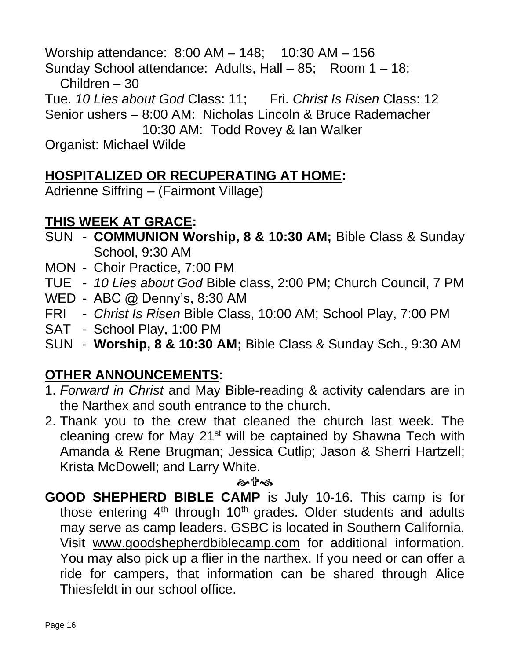Worship attendance: 8:00 AM – 148; 10:30 AM – 156 Sunday School attendance: Adults, Hall – 85; Room 1 – 18; Children – 30 Tue. *10 Lies about God* Class: 11; Fri. *Christ Is Risen* Class: 12 Senior ushers – 8:00 AM: Nicholas Lincoln & Bruce Rademacher 10:30 AM: Todd Rovey & Ian Walker Organist: Michael Wilde

## **HOSPITALIZED OR RECUPERATING AT HOME:**

Adrienne Siffring – (Fairmont Village)

## **THIS WEEK AT GRACE:**

- SUN **COMMUNION Worship, 8 & 10:30 AM;** Bible Class & Sunday School, 9:30 AM
- MON Choir Practice, 7:00 PM
- TUE *10 Lies about God* Bible class, 2:00 PM; Church Council, 7 PM
- WED ABC @ Denny's, 8:30 AM
- FRI *Christ Is Risen* Bible Class, 10:00 AM; School Play, 7:00 PM
- SAT School Play, 1:00 PM
- SUN **Worship, 8 & 10:30 AM;** Bible Class & Sunday Sch., 9:30 AM

## **OTHER ANNOUNCEMENTS:**

- 1. *Forward in Christ* and May Bible-reading & activity calendars are in the Narthex and south entrance to the church.
- 2. Thank you to the crew that cleaned the church last week. The cleaning crew for May 21st will be captained by Shawna Tech with Amanda & Rene Brugman; Jessica Cutlip; Jason & Sherri Hartzell; Krista McDowell; and Larry White.

#### ゐฃิ๘

**GOOD SHEPHERD BIBLE CAMP** is July 10-16. This camp is for those entering  $4<sup>th</sup>$  through 10<sup>th</sup> grades. Older students and adults may serve as camp leaders. GSBC is located in Southern California. Visit [www.goodshepherdbiblecamp.com](http://www.goodshepherdbiblecamp.com/) for additional information. You may also pick up a flier in the narthex. If you need or can offer a ride for campers, that information can be shared through Alice Thiesfeldt in our school office.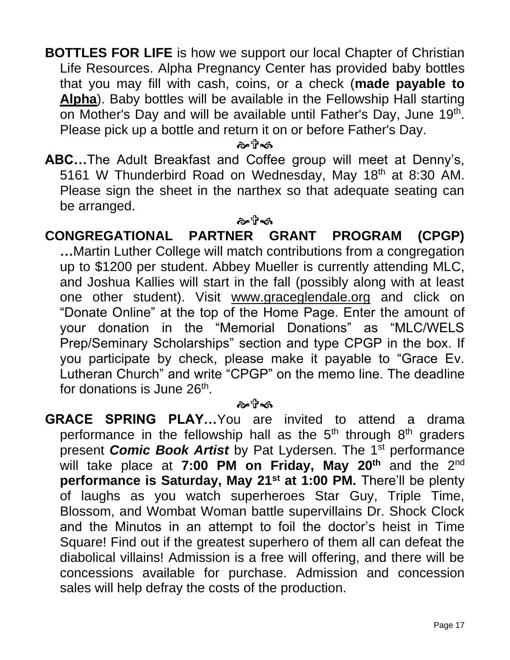**BOTTLES FOR LIFE** is how we support our local Chapter of Christian Life Resources. Alpha Pregnancy Center has provided baby bottles that you may fill with cash, coins, or a check (**made payable to Alpha**). Baby bottles will be available in the Fellowship Hall starting on Mother's Day and will be available until Father's Day, June 19<sup>th</sup>. Please pick up a bottle and return it on or before Father's Day.

কলীৰ্জ

**ABC…**The Adult Breakfast and Coffee group will meet at Denny's, 5161 W Thunderbird Road on Wednesday, May 18<sup>th</sup> at 8:30 AM. Please sign the sheet in the narthex so that adequate seating can be arranged.

#### ஒரிக்

**CONGREGATIONAL PARTNER GRANT PROGRAM (CPGP) …**Martin Luther College will match contributions from a congregation up to \$1200 per student. Abbey Mueller is currently attending MLC, and Joshua Kallies will start in the fall (possibly along with at least one other student). Visit [www.graceglendale.org](http://www.graceglendale.org/) and click on "Donate Online" at the top of the Home Page. Enter the amount of your donation in the "Memorial Donations" as "MLC/WELS Prep/Seminary Scholarships" section and type CPGP in the box. If you participate by check, please make it payable to "Grace Ev. Lutheran Church" and write "CPGP" on the memo line. The deadline for donations is June 26<sup>th</sup>.

#### ஒரிக்

**GRACE SPRING PLAY…**You are invited to attend a drama performance in the fellowship hall as the  $5<sup>th</sup>$  through  $8<sup>th</sup>$  graders present **Comic Book Artist** by Pat Lydersen. The 1<sup>st</sup> performance will take place at **7:00 PM on Friday, May 20th** and the 2nd **performance is Saturday, May 21st at 1:00 PM.** There'll be plenty of laughs as you watch superheroes Star Guy, Triple Time, Blossom, and Wombat Woman battle supervillains Dr. Shock Clock and the Minutos in an attempt to foil the doctor's heist in Time Square! Find out if the greatest superhero of them all can defeat the diabolical villains! Admission is a free will offering, and there will be concessions available for purchase. Admission and concession sales will help defray the costs of the production.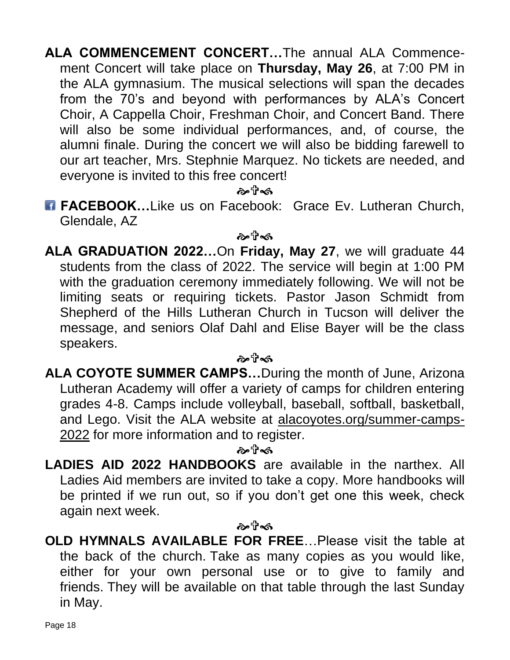**ALA COMMENCEMENT CONCERT…**The annual ALA Commencement Concert will take place on **Thursday, May 26**, at 7:00 PM in the ALA gymnasium. The musical selections will span the decades from the 70's and beyond with performances by ALA's Concert Choir, A Cappella Choir, Freshman Choir, and Concert Band. There will also be some individual performances, and, of course, the alumni finale. During the concert we will also be bidding farewell to our art teacher, Mrs. Stephnie Marquez. No tickets are needed, and everyone is invited to this free concert!

ஒ⊤ி்கி

**FACEBOOK...Like us on Facebook: Grace Ev. Lutheran Church,** Glendale, AZ

ゐ ปี∙๑

**ALA GRADUATION 2022…**On **Friday, May 27**, we will graduate 44 students from the class of 2022. The service will begin at 1:00 PM with the graduation ceremony immediately following. We will not be limiting seats or requiring tickets. Pastor Jason Schmidt from Shepherd of the Hills Lutheran Church in Tucson will deliver the message, and seniors Olaf Dahl and Elise Bayer will be the class speakers.

#### ๛ฃิ∞

**ALA COYOTE SUMMER CAMPS…**During the month of June, Arizona Lutheran Academy will offer a variety of camps for children entering grades 4-8. Camps include volleyball, baseball, softball, basketball, and Lego. Visit the ALA website at [alacoyotes.org/summer-camps-](http://alacoyotes.org/summer-camps-2022)[2022](http://alacoyotes.org/summer-camps-2022) for more information and to register.

#### ๛๚ิ∞

**LADIES AID 2022 HANDBOOKS** are available in the narthex. All Ladies Aid members are invited to take a copy. More handbooks will be printed if we run out, so if you don't get one this week, check again next week.

#### کو†م∂

**OLD HYMNALS AVAILABLE FOR FREE**…Please visit the table at the back of the church. Take as many copies as you would like, either for your own personal use or to give to family and friends. They will be available on that table through the last Sunday in May.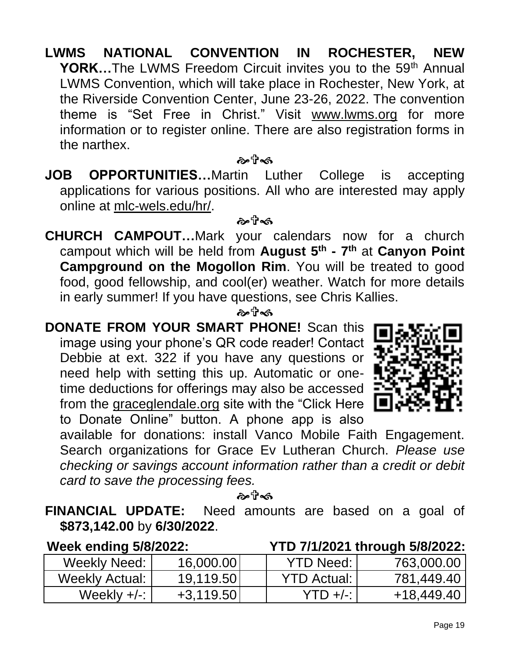- **LWMS NATIONAL CONVENTION IN ROCHESTER, NEW YORK…**The LWMS Freedom Circuit invites you to the 59<sup>th</sup> Annual LWMS Convention, which will take place in Rochester, New York, at the Riverside Convention Center, June 23-26, 2022. The convention theme is "Set Free in Christ." Visit [www.lwms.org](http://www.lwms.org/) for more information or to register online. There are also registration forms in the narthex.
- **JOB OPPORTUNITIES…**Martin Luther College is accepting applications for various positions. All who are interested may apply online at [mlc-wels.edu/hr/.](https://r20.rs6.net/tn.jsp?f=001LcbseUAWgwnRwLYhDVNmMg7-tpLUQ1_iz98JVrWrCBcCQ_PTbgIZD3SIsBAp-0aXejeyBtzMpRWxXPgxvOfe5c5C6Po8TswBhfxJCxGUS7MvXJqOLXqLLhFZNWl6P-ejup1vFxxXslVpKv5qX77tLg==&c=JZM8CxgguSAN-jcigjGws6dGlHKpoCI7eKH-pQLjFQ6wDs7FTzzZJw==&ch=LOL90ch9EZn6Xf5dGpJWegbLS8I6yz0SO4X9GQhMKplfdUAyRAbzCA==)

কলীৰ্জ

#### ஒ⊤ி்கி

**CHURCH CAMPOUT…**Mark your calendars now for a church campout which will be held from **August 5th - 7 th** at **Canyon Point Campground on the Mogollon Rim**. You will be treated to good food, good fellowship, and cool(er) weather. Watch for more details in early summer! If you have questions, see Chris Kallies.

#### ๛๚ิ∞

**DONATE FROM YOUR SMART PHONE!** Scan this image using your phone's QR code reader! Contact Debbie at ext. 322 if you have any questions or need help with setting this up. Automatic or onetime deductions for offerings may also be accessed from the graceglendale.org site with the "Click Here to Donate Online" button. A phone app is also



available for donations: install Vanco Mobile Faith Engagement. Search organizations for Grace Ev Lutheran Church. *Please use checking or savings account information rather than a credit or debit card to save the processing fees.*

ക†ิ≼ธ

**FINANCIAL UPDATE:** Need amounts are based on a goal of **\$873,142.00** by **6/30/2022**.

| <b>Week ending 5/8/2022:</b> |             |                      | YTD 7/1/2021 through 5/8/2022: |
|------------------------------|-------------|----------------------|--------------------------------|
| Weekly Need:                 | 16,000.00   | <b>YTD Need: I</b>   | 763,000.00                     |
| Weekly Actual:               | 19,119.50   | <b>YTD Actual: I</b> | 781,449.40                     |
| Weekly $+/-$ :               | $+3,119.50$ | $YTD +/-$            | +18,449.40                     |